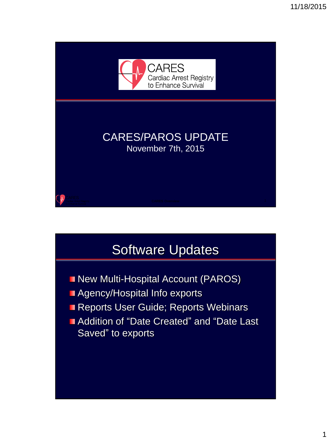

### Software Updates

- **New Multi-Hospital Account (PAROS)**
- **Agency/Hospital Info exports**
- **Reports User Guide; Reports Webinars**
- **Addition of "Date Created" and "Date Last** Saved" to exports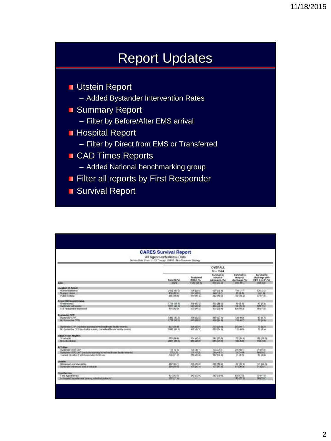### Report Updates

**Utstein Report** 

- Added Bystander Intervention Rates
- **Summary Report** 
	- Filter by Before/After EMS arrival
- **Hospital Report** 
	- Filter by Direct from EMS or Transferred
- **CAD Times Reports** 
	- Added National benchmarking group
- **Filter all reports by First Responder**
- Survival Report

|                                                                                                                                                                  | <b>CARES Survival Report</b><br>All Agencies/National Data<br>Service Date: From US/13 Through 1/31/13   Non-Traumatic Elistopy |                                         |                                                  |                                           |                                                              |  |  |  |  |
|------------------------------------------------------------------------------------------------------------------------------------------------------------------|---------------------------------------------------------------------------------------------------------------------------------|-----------------------------------------|--------------------------------------------------|-------------------------------------------|--------------------------------------------------------------|--|--|--|--|
|                                                                                                                                                                  |                                                                                                                                 | <b>OVERALL</b><br>$N = 3524$            |                                                  |                                           |                                                              |  |  |  |  |
|                                                                                                                                                                  | Total N (%)                                                                                                                     | Exettined<br>ROSC (%)                   | Sarvival to<br><b>Indicated</b><br>admission (%) | Survival to<br>holpital:<br>discharge (%) | Survival to<br>discharge with<br>CPC 1 or 2 <sup>1</sup> (%) |  |  |  |  |
| Total                                                                                                                                                            | 235                                                                                                                             | <b>1982/001 FM</b>                      | 376,227,71                                       | 322 O. C                                  | <b>POT URBS</b>                                              |  |  |  |  |
| Install for reduced<br>Home/Neterlooks<br><b>Manager Hearter</b><br><b>Public Setting</b>                                                                        | 2432 (65.05)<br>439.012.45<br>855 (18.8)                                                                                        | C28 (29.35)<br>124./28.01<br>270 (41.2) | 638 05.81<br><b>86 (19.7)</b><br>PEZ (46 D)      | <b>MY OF PL</b><br>15 (3.4)<br>120 (38.3) | 126 (5.2)<br>RCLEL<br>D7 (14.8)                              |  |  |  |  |
| Аттинг Witnessen Status.<br>Unwitnessed<br><b>Bustanian warehood</b><br>911 Passcoda winners!                                                                    | 1768-231.15<br>107113015<br>454 (12.06)                                                                                         | 309 (22.3)<br>519180.00<br>203 (44.7)   | 532 (18.5)<br>88810015<br>179 (78.4)             | 方は料<br>1081333<br>83 (18.76)              | 42.07.00<br>123 (47)<br>08174.51                             |  |  |  |  |
| <b>Bystander CPR!</b><br><b>Besterview CPR</b><br>No illustrator CFFE                                                                                            | 1342 (43.7)<br>1728 00:35                                                                                                       | 436 (32 in<br><b>NEEL (202 CE)</b>      | 169 (27.4)<br><b>K28 (24.18)</b>                 | 123 (9.15)<br>199,0575                    | 90.85.75<br>75,6639                                          |  |  |  |  |
| Dynastie CPP (sycholog running hypodwallbrass facilty countri-<br>No Syntonday CPP involvates oursing homofinathesists bandly events                             | 802-225.63<br>1912 (64.4)                                                                                                       | 206 035 47<br>862 (27.8)                | 223 (33.6)<br>306 CM 66                          | 95410.75<br>112,000                       | 市販店<br>72.14.50                                              |  |  |  |  |
| In that Arrest Film they<br>Shockable<br>Novabiologiai                                                                                                           | 063.116.01<br>WAST LIKE US                                                                                                      | 304 (45.9)<br><b>NEW CONTIN</b>         | 291 (43 O)<br><b>BRIGHTON</b>                    | 162124.43<br>160,0586                     | 189119.26<br>100,0189                                        |  |  |  |  |
| <b>APO Use</b><br>Bustanzani AED Levi<br>By identity ALD cash (excludes narrow) to contrast trans Sackly arrested<br>Islands ployable (First Responders AFD use) | 155倍(1)<br>100 0216<br>749 (21.2)                                                                                               | 59 (38.1)<br>25 (47.05)<br>P18 (29.2)   | 50 (33 3)<br>DS149-Tr<br>182 (24.4)              | 39 (10.1)<br>18 (54.0)<br>61 DL 21        | 24 ctl-lit<br>15 (30.21)<br>39.00.00                         |  |  |  |  |
| <b>Literatures</b><br>Witnessed and shockable<br>Rental and Editor Dramatical Security                                                                           | 462 (13.1)<br>30011036                                                                                                          | 20515046<br>126167.01                   | 2201108-01<br>125,007.02                         | 107 (29.7)<br>87,09036                    | 110.55 F6<br>24120.51                                        |  |  |  |  |
| <b>HusaBurnes</b><br>aid hypoterma<br>In Personal Property and Converts Consultant                                                                               | 474 (13.5)<br>502.031.49                                                                                                        | $363(72-4)$                             | 280 (55.1)                                       | 83 (17.5)<br>145,039.93                   | 52 (11.9)<br>00 (19.7)                                       |  |  |  |  |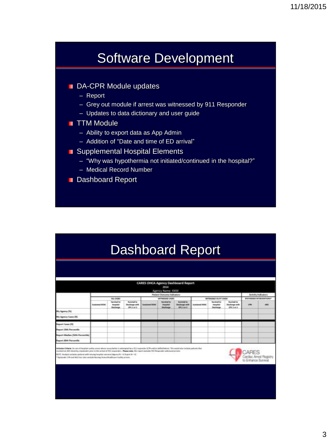### Software Development

- DA-CPR Module updates
	- Report
	- Grey out module if arrest was witnessed by 911 Responder
	- Updates to data dictionary and user guide
- **TTM Module** 
	- Ability to export data as App Admin
	- Addition of "Date and time of ED arrival"
- Supplemental Hospital Elements
	- "Why was hypothermia not initiated/continued in the hospital?"
	- Medical Record Number
- **Dashboard Report**

|  |  |  | <b>Dashboard Report</b> |
|--|--|--|-------------------------|
|--|--|--|-------------------------|

|                                        |                       |                                                                                  |                                                          |                                       | Agency Name: XXXX<br><b>Putjant Outcome Indianary</b>                           |                                                         |                    |                                                                                        |                                                        |            | Activity Indicators             |
|----------------------------------------|-----------------------|----------------------------------------------------------------------------------|----------------------------------------------------------|---------------------------------------|---------------------------------------------------------------------------------|---------------------------------------------------------|--------------------|----------------------------------------------------------------------------------------|--------------------------------------------------------|------------|---------------------------------|
|                                        | <b>Sustained ROSC</b> | 411, 14089<br>Tarytool to<br><b>Playaritai</b><br><b><i><u>Blackwage</u></i></b> | <b>Turning Inc.</b><br><b>Thelaster with</b><br>ORLE III | <b><i><u>Restalienci PETE</u></i></b> | WITHEINED CASES<br><b>Facilities for</b><br><b>Heighted</b><br><b>Skillerge</b> | <b>Bureau Inc.</b><br><b>Chullenge with</b><br>0913-012 | <b>Sedamed ACU</b> | IMPRESSES VIVIVI CASES<br><b>Signatured for</b><br><b>HomeHall</b><br><b>Machenger</b> | <b>Substanting</b><br><b>Charlessewith</b><br>OR Lat.E | <b>CFR</b> | <b>BYLTANIES INTERVENTIONS*</b> |
| Me Agency (N)                          |                       |                                                                                  |                                                          |                                       |                                                                                 |                                                         |                    | ---                                                                                    |                                                        |            |                                 |
| My Agrees Lees (H)                     |                       |                                                                                  |                                                          |                                       |                                                                                 |                                                         |                    |                                                                                        |                                                        |            |                                 |
| <b>Bayer: Cases (M)</b>                |                       |                                                                                  |                                                          |                                       |                                                                                 |                                                         |                    |                                                                                        |                                                        |            |                                 |
| <b>Negat 20th Personalis</b>           |                       |                                                                                  |                                                          |                                       |                                                                                 |                                                         |                    |                                                                                        |                                                        |            |                                 |
| <b>Report Medias (GOO Persontial</b> ) |                       |                                                                                  |                                                          |                                       |                                                                                 |                                                         |                    |                                                                                        |                                                        |            |                                 |
| <b>Faport Sith Partnerlin</b>          |                       |                                                                                  |                                                          |                                       |                                                                                 |                                                         |                    |                                                                                        |                                                        |            |                                 |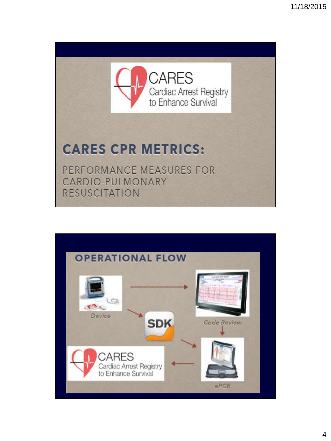

# **CARES CPR METRICS:**

PERFORMANCE MEASURES FOR CARDIO-PULMONARY **RESUSCITATION** 

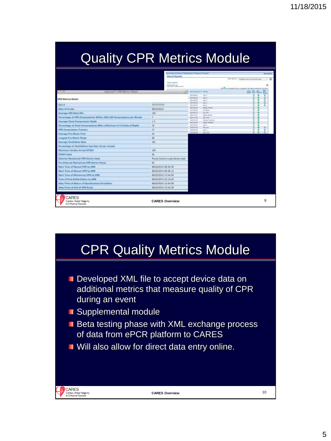## Quality CPR Metrics Module

|                                           | <b>Sizes Row</b>                        |                                                                                                |                    |
|-------------------------------------------|-----------------------------------------|------------------------------------------------------------------------------------------------|--------------------|
|                                           |                                         | For P. Hofficial - 3 Kingdom comm of the day to \$1.000.<br>24 Parcelland Andrea Assets (2019) | 中国<br><b>PG GH</b> |
| The first of books & Palmer               |                                         | <b>Press Roll, Inc.,</b>                                                                       |                    |
| 8118 00 UE<br>$38 + 0021$<br>419 8 199 19 | $-4 - 1$<br>$-1$<br>$-0.61 - 1.$        |                                                                                                |                    |
| 012410113<br>$214 + 448$ (3)              | $44 + 4$<br>man or                      | и                                                                                              |                    |
| 010110118                                 | <b>Scientification</b>                  | š                                                                                              |                    |
| 0111 0118                                 | N. Brand                                | ū.                                                                                             |                    |
| 3144-164-14<br>2014-1211                  | <b>Harry Film</b><br><b>Maria Monta</b> | u                                                                                              |                    |
| 3184 31 M                                 | <b>Die Sele</b>                         | ÷                                                                                              |                    |
| 499 910 010                               | <b>Barris</b> Roberts                   | ж                                                                                              |                    |
| 41111111                                  | and conte                               | ×                                                                                              |                    |
| 0121-1411<br>811110106                    | $-1 - 1$<br><b>MAL MIL</b>              | 車                                                                                              |                    |
| 01012-014                                 | $m = 1$                                 |                                                                                                |                    |
| 81111111                                  | deal, state                             |                                                                                                |                    |
|                                           |                                         |                                                                                                |                    |
|                                           |                                         |                                                                                                |                    |
|                                           |                                         |                                                                                                |                    |
|                                           |                                         |                                                                                                |                    |
|                                           |                                         |                                                                                                |                    |
|                                           |                                         |                                                                                                |                    |
|                                           |                                         |                                                                                                |                    |
|                                           |                                         |                                                                                                |                    |
|                                           |                                         |                                                                                                |                    |
|                                           |                                         |                                                                                                |                    |
|                                           |                                         |                                                                                                |                    |
|                                           |                                         |                                                                                                |                    |
|                                           |                                         |                                                                                                |                    |
|                                           |                                         |                                                                                                | 9                  |
|                                           |                                         |                                                                                                |                    |